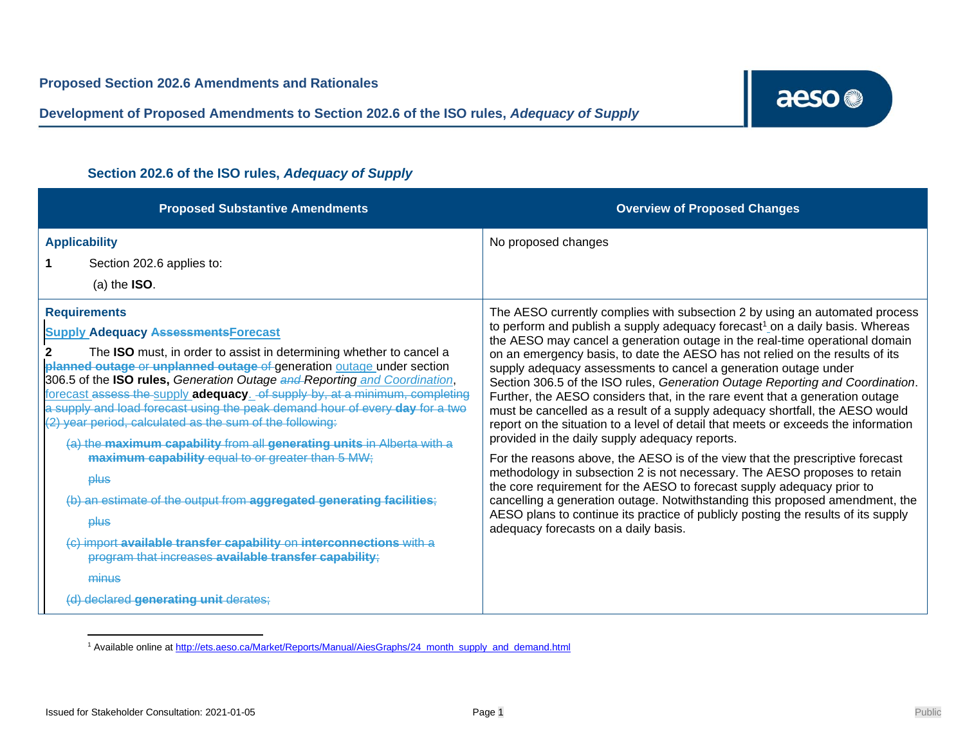**Development of Proposed Amendments to Section 202.6 of the ISO rules,** *Adequacy of Supply*

| <b>Proposed Substantive Amendments</b>                                                                                                                                                                                                                                                                                                                                                                                                                                                                                                                                                                                                                                                                                                                                                                                                                                                                                                                   | <b>Overview of Proposed Changes</b>                                                                                                                                                                                                                                                                                                                                                                                                                                                                                                                                                                                                                                                                                                                                                                                                                                                                                                                                                                                                                                                                                                                                                                                                                     |
|----------------------------------------------------------------------------------------------------------------------------------------------------------------------------------------------------------------------------------------------------------------------------------------------------------------------------------------------------------------------------------------------------------------------------------------------------------------------------------------------------------------------------------------------------------------------------------------------------------------------------------------------------------------------------------------------------------------------------------------------------------------------------------------------------------------------------------------------------------------------------------------------------------------------------------------------------------|---------------------------------------------------------------------------------------------------------------------------------------------------------------------------------------------------------------------------------------------------------------------------------------------------------------------------------------------------------------------------------------------------------------------------------------------------------------------------------------------------------------------------------------------------------------------------------------------------------------------------------------------------------------------------------------------------------------------------------------------------------------------------------------------------------------------------------------------------------------------------------------------------------------------------------------------------------------------------------------------------------------------------------------------------------------------------------------------------------------------------------------------------------------------------------------------------------------------------------------------------------|
| <b>Applicability</b><br>Section 202.6 applies to:<br>$(a)$ the $ISO.$                                                                                                                                                                                                                                                                                                                                                                                                                                                                                                                                                                                                                                                                                                                                                                                                                                                                                    | No proposed changes                                                                                                                                                                                                                                                                                                                                                                                                                                                                                                                                                                                                                                                                                                                                                                                                                                                                                                                                                                                                                                                                                                                                                                                                                                     |
| <b>Requirements</b><br><b>Supply Adequacy Assessments Forecast</b><br>The <b>ISO</b> must, in order to assist in determining whether to cancel a<br>planned outage or unplanned outage of generation outage under section<br>306.5 of the ISO rules, Generation Outage and Reporting and Coordination,<br>forecast assess the supply adequacy. of supply by, at a minimum, completing<br>a supply and load forecast using the peak demand hour of every day for a two<br>(2) year period, calculated as the sum of the following:<br>(a) the maximum capability from all generating units in Alberta with a<br>maximum capability equal to or greater than 5 MW;<br><b>plus</b><br>(b) an estimate of the output from aggregated generating facilities;<br><b>plus</b><br>(c) import available transfer capability on interconnections with a<br>program that increases available transfer capability;<br>minus<br>(d) declared generating unit derates; | The AESO currently complies with subsection 2 by using an automated process<br>to perform and publish a supply adequacy forecast <sup>1</sup> on a daily basis. Whereas<br>the AESO may cancel a generation outage in the real-time operational domain<br>on an emergency basis, to date the AESO has not relied on the results of its<br>supply adequacy assessments to cancel a generation outage under<br>Section 306.5 of the ISO rules, Generation Outage Reporting and Coordination.<br>Further, the AESO considers that, in the rare event that a generation outage<br>must be cancelled as a result of a supply adequacy shortfall, the AESO would<br>report on the situation to a level of detail that meets or exceeds the information<br>provided in the daily supply adequacy reports.<br>For the reasons above, the AESO is of the view that the prescriptive forecast<br>methodology in subsection 2 is not necessary. The AESO proposes to retain<br>the core requirement for the AESO to forecast supply adequacy prior to<br>cancelling a generation outage. Notwithstanding this proposed amendment, the<br>AESO plans to continue its practice of publicly posting the results of its supply<br>adequacy forecasts on a daily basis. |

## **Section 202.6 of the ISO rules,** *Adequacy of Supply*

<sup>1</sup> Available online at [http://ets.aeso.ca/Market/Reports/Manual/AiesGraphs/24\\_month\\_supply\\_and\\_demand.html](http://ets.aeso.ca/Market/Reports/Manual/AiesGraphs/24_month_supply_and_demand.html)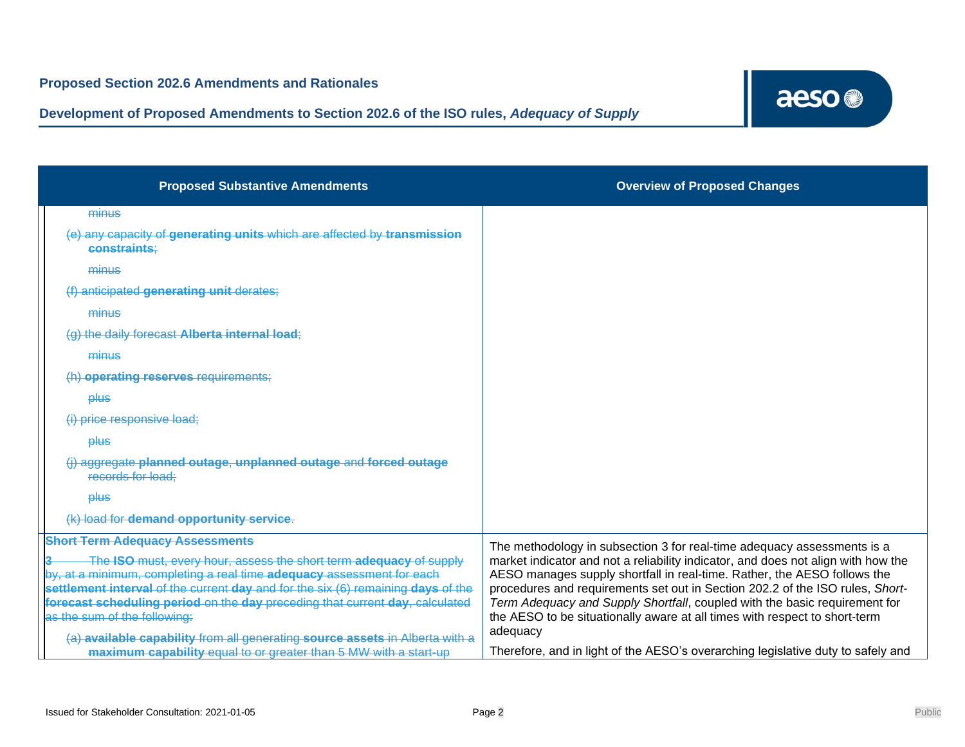

| <b>Proposed Substantive Amendments</b>                                                                                                      | <b>Overview of Proposed Changes</b>                                                                                                                           |
|---------------------------------------------------------------------------------------------------------------------------------------------|---------------------------------------------------------------------------------------------------------------------------------------------------------------|
| minus                                                                                                                                       |                                                                                                                                                               |
| (e) any capacity of generating units which are affected by transmission<br>constraints:                                                     |                                                                                                                                                               |
| minus                                                                                                                                       |                                                                                                                                                               |
| (f) anticipated generating unit derates;                                                                                                    |                                                                                                                                                               |
| minus                                                                                                                                       |                                                                                                                                                               |
| (g) the daily forecast Alberta internal load;                                                                                               |                                                                                                                                                               |
| minus                                                                                                                                       |                                                                                                                                                               |
| (h) operating reserves requirements;                                                                                                        |                                                                                                                                                               |
| plus                                                                                                                                        |                                                                                                                                                               |
| (i) price responsive load:                                                                                                                  |                                                                                                                                                               |
| plus                                                                                                                                        |                                                                                                                                                               |
| (i) aggregate planned outage, unplanned outage and forced outage<br>records for load:                                                       |                                                                                                                                                               |
| plus                                                                                                                                        |                                                                                                                                                               |
| (k) load for demand opportunity service.                                                                                                    |                                                                                                                                                               |
| <b>Short Term Adequacy Assessments</b>                                                                                                      | The methodology in subsection 3 for real-time adequacy assessments is a                                                                                       |
| The ISO must, every hour, assess the short term adequacy of supply<br>by, at a minimum, completing a real time adequacy assessment for each | market indicator and not a reliability indicator, and does not align with how the<br>AESO manages supply shortfall in real-time. Rather, the AESO follows the |
| settlement interval of the current day and for the six (6) remaining days of the                                                            | procedures and requirements set out in Section 202.2 of the ISO rules, Short-                                                                                 |
| forecast scheduling period on the day preceding that current day, calculated<br>as the sum of the following:                                | Term Adequacy and Supply Shortfall, coupled with the basic requirement for<br>the AESO to be situationally aware at all times with respect to short-term      |
| (a) available capability from all generating source assets in Alberta with a                                                                | adequacy                                                                                                                                                      |
| maximum capability equal to or greater than 5 MW with a start-up                                                                            | Therefore, and in light of the AESO's overarching legislative duty to safely and                                                                              |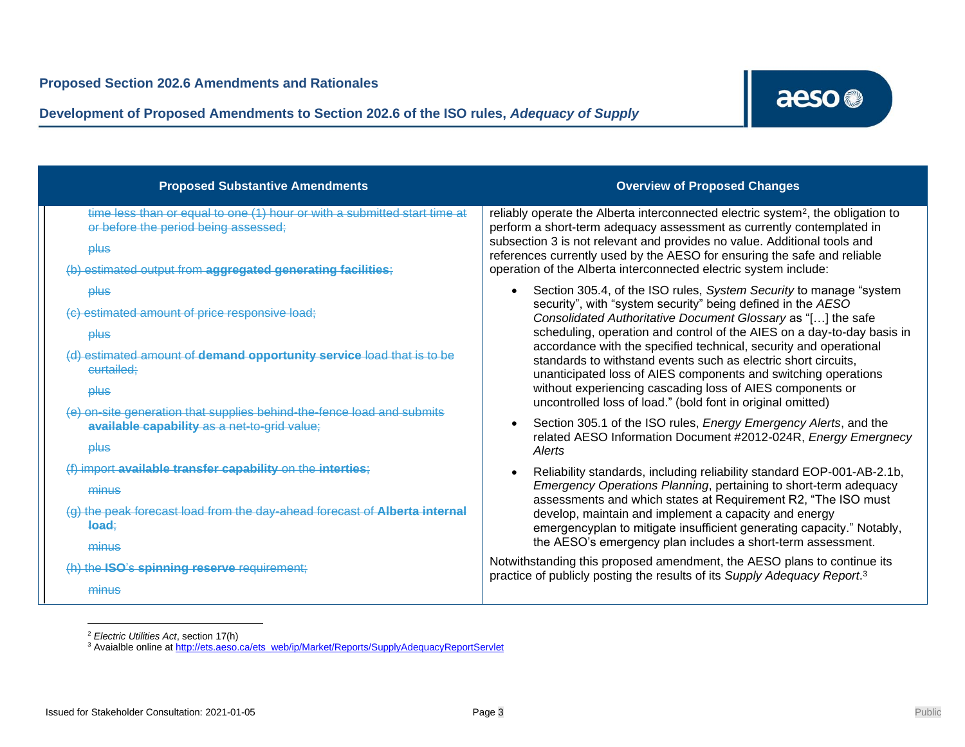**Development of Proposed Amendments to Section 202.6 of the ISO rules,** *Adequacy of Supply*

| <b>Proposed Substantive Amendments</b>                                                                                                                                                                                                                       | <b>Overview of Proposed Changes</b>                                                                                                                                                                                                                                                                                                                                                                                                                                                                                                                                                                               |
|--------------------------------------------------------------------------------------------------------------------------------------------------------------------------------------------------------------------------------------------------------------|-------------------------------------------------------------------------------------------------------------------------------------------------------------------------------------------------------------------------------------------------------------------------------------------------------------------------------------------------------------------------------------------------------------------------------------------------------------------------------------------------------------------------------------------------------------------------------------------------------------------|
| time less than or equal to one (1) hour or with a submitted start time at<br>or before the period being assessed;<br>plus<br>(b) estimated output from aggregated generating facilities;                                                                     | reliably operate the Alberta interconnected electric system <sup>2</sup> , the obligation to<br>perform a short-term adequacy assessment as currently contemplated in<br>subsection 3 is not relevant and provides no value. Additional tools and<br>references currently used by the AESO for ensuring the safe and reliable<br>operation of the Alberta interconnected electric system include:                                                                                                                                                                                                                 |
| <b>plus</b><br>(c) estimated amount of price responsive load;<br><b>plus</b><br>(d) estimated amount of demand opportunity service load that is to be<br>curtailed;<br><b>plus</b><br>(e) on-site generation that supplies behind-the-fence load and submits | Section 305.4, of the ISO rules, System Security to manage "system"<br>security", with "system security" being defined in the AESO<br>Consolidated Authoritative Document Glossary as "[] the safe<br>scheduling, operation and control of the AIES on a day-to-day basis in<br>accordance with the specified technical, security and operational<br>standards to withstand events such as electric short circuits,<br>unanticipated loss of AIES components and switching operations<br>without experiencing cascading loss of AIES components or<br>uncontrolled loss of load." (bold font in original omitted) |
| available capability as a net-to-grid value;<br><b>plus</b>                                                                                                                                                                                                  | Section 305.1 of the ISO rules, Energy Emergency Alerts, and the<br>$\bullet$<br>related AESO Information Document #2012-024R, Energy Emergnecy<br>Alerts                                                                                                                                                                                                                                                                                                                                                                                                                                                         |
| (f) import available transfer capability on the interties;<br>minus<br>(g) the peak forecast load from the day-ahead forecast of Alberta internal<br>load:<br>minus                                                                                          | Reliability standards, including reliability standard EOP-001-AB-2.1b,<br>$\bullet$<br>Emergency Operations Planning, pertaining to short-term adequacy<br>assessments and which states at Requirement R2, "The ISO must<br>develop, maintain and implement a capacity and energy<br>emergencyplan to mitigate insufficient generating capacity." Notably,<br>the AESO's emergency plan includes a short-term assessment.                                                                                                                                                                                         |
| (h) the ISO's spinning reserve requirement;<br>minus                                                                                                                                                                                                         | Notwithstanding this proposed amendment, the AESO plans to continue its<br>practice of publicly posting the results of its Supply Adequacy Report. <sup>3</sup>                                                                                                                                                                                                                                                                                                                                                                                                                                                   |

<sup>2</sup> *Electric Utilities Act*, section 17(h)

<sup>&</sup>lt;sup>3</sup> Avaialble online a[t http://ets.aeso.ca/ets\\_web/ip/Market/Reports/SupplyAdequacyReportServlet](http://ets.aeso.ca/ets_web/ip/Market/Reports/SupplyAdequacyReportServlet)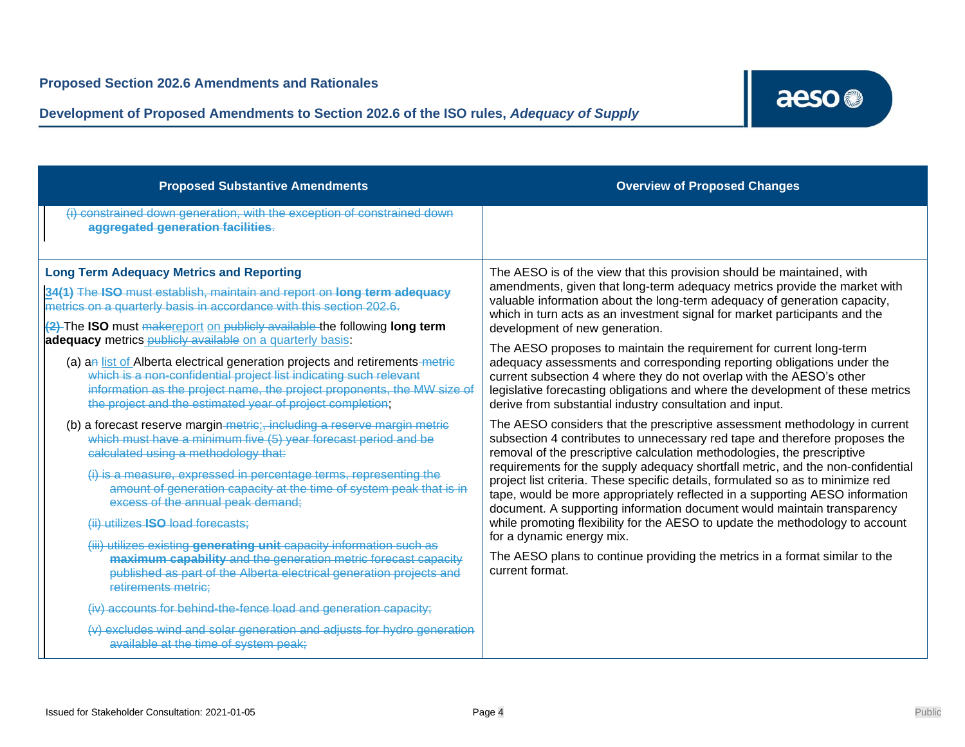## **Development of Proposed Amendments to Section 202.6 of the ISO rules,** *Adequacy of Supply*

# aeso<sup>®</sup>

| <b>Proposed Substantive Amendments</b>                                                                                                                                                                                                                                                                                                      | <b>Overview of Proposed Changes</b>                                                                                                                                                                                                                                                                                                                                                                                                                                                                                                                                                                                                                                                                                                                                                   |
|---------------------------------------------------------------------------------------------------------------------------------------------------------------------------------------------------------------------------------------------------------------------------------------------------------------------------------------------|---------------------------------------------------------------------------------------------------------------------------------------------------------------------------------------------------------------------------------------------------------------------------------------------------------------------------------------------------------------------------------------------------------------------------------------------------------------------------------------------------------------------------------------------------------------------------------------------------------------------------------------------------------------------------------------------------------------------------------------------------------------------------------------|
| (i) constrained down generation, with the exception of constrained down<br>aggregated generation facilities.                                                                                                                                                                                                                                |                                                                                                                                                                                                                                                                                                                                                                                                                                                                                                                                                                                                                                                                                                                                                                                       |
| <b>Long Term Adequacy Metrics and Reporting</b><br>34(1) The ISO must establish, maintain and report on long term adequacy<br>metrics on a quarterly basis in accordance with this section 202.6.<br>(2) The ISO must makereport on publicly available the following long term<br>adequacy metrics publicly available on a quarterly basis: | The AESO is of the view that this provision should be maintained, with<br>amendments, given that long-term adequacy metrics provide the market with<br>valuable information about the long-term adequacy of generation capacity,<br>which in turn acts as an investment signal for market participants and the<br>development of new generation.<br>The AESO proposes to maintain the requirement for current long-term                                                                                                                                                                                                                                                                                                                                                               |
| (a) an list of Alberta electrical generation projects and retirements metric<br>which is a non-confidential project list indicating such relevant<br>information as the project name, the project proponents, the MW size of<br>the project and the estimated year of project completion;                                                   | adequacy assessments and corresponding reporting obligations under the<br>current subsection 4 where they do not overlap with the AESO's other<br>legislative forecasting obligations and where the development of these metrics<br>derive from substantial industry consultation and input.                                                                                                                                                                                                                                                                                                                                                                                                                                                                                          |
| (b) a forecast reserve margin-metric;, including a reserve margin metric<br>which must have a minimum five (5) year forecast period and be<br>calculated using a methodology that:                                                                                                                                                          | The AESO considers that the prescriptive assessment methodology in current<br>subsection 4 contributes to unnecessary red tape and therefore proposes the<br>removal of the prescriptive calculation methodologies, the prescriptive<br>requirements for the supply adequacy shortfall metric, and the non-confidential<br>project list criteria. These specific details, formulated so as to minimize red<br>tape, would be more appropriately reflected in a supporting AESO information<br>document. A supporting information document would maintain transparency<br>while promoting flexibility for the AESO to update the methodology to account<br>for a dynamic energy mix.<br>The AESO plans to continue providing the metrics in a format similar to the<br>current format. |
| (i) is a measure, expressed in percentage terms, representing the<br>amount of generation capacity at the time of system peak that is in<br>excess of the annual peak demand;                                                                                                                                                               |                                                                                                                                                                                                                                                                                                                                                                                                                                                                                                                                                                                                                                                                                                                                                                                       |
| (ii) utilizes ISO load forecasts;<br>(iii) utilizes existing generating unit capacity information such as<br>maximum capability and the generation metric forecast capacity<br>published as part of the Alberta electrical generation projects and<br>retirements metric:                                                                   |                                                                                                                                                                                                                                                                                                                                                                                                                                                                                                                                                                                                                                                                                                                                                                                       |
| (iv) accounts for behind-the-fence load and generation capacity;<br>(v) excludes wind and solar generation and adjusts for hydro generation<br>available at the time of system peak;                                                                                                                                                        |                                                                                                                                                                                                                                                                                                                                                                                                                                                                                                                                                                                                                                                                                                                                                                                       |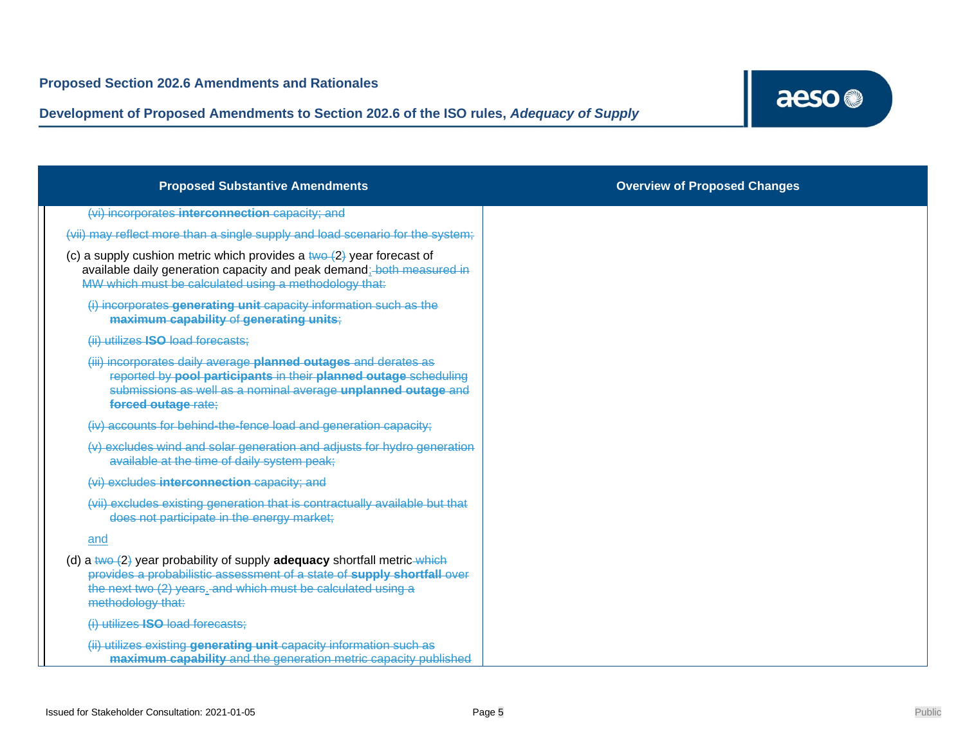

| <b>Proposed Substantive Amendments</b>                                                                                                                                                                                                   | <b>Overview of Proposed Changes</b> |
|------------------------------------------------------------------------------------------------------------------------------------------------------------------------------------------------------------------------------------------|-------------------------------------|
| (vi) incorporates interconnection capacity; and                                                                                                                                                                                          |                                     |
| (vii) may reflect more than a single supply and load scenario for the system;                                                                                                                                                            |                                     |
| (c) a supply cushion metric which provides a $two-2$ year forecast of<br>available daily generation capacity and peak demand; both measured in<br>MW which must be calculated using a methodology that:                                  |                                     |
| (i) incorporates generating unit capacity information such as the<br>maximum capability of generating units;                                                                                                                             |                                     |
| (ii) utilizes ISO load forecasts;                                                                                                                                                                                                        |                                     |
| (iii) incorporates daily average planned outages and derates as<br>reported by pool participants in their planned outage scheduling<br>submissions as well as a nominal average unplanned outage and<br>forced outage rate;              |                                     |
| (iv) accounts for behind-the-fence load and generation capacity;                                                                                                                                                                         |                                     |
| (v) excludes wind and solar generation and adjusts for hydro generation<br>available at the time of daily system peak;                                                                                                                   |                                     |
| (vi) excludes interconnection capacity; and                                                                                                                                                                                              |                                     |
| (vii) excludes existing generation that is contractually available but that<br>does not participate in the energy market;                                                                                                                |                                     |
| and                                                                                                                                                                                                                                      |                                     |
| (d) a $two-2$ year probability of supply adequacy shortfall metric which<br>provides a probabilistic assessment of a state of supply shortfall over<br>the next two (2) years. and which must be calculated using a<br>methodology that: |                                     |
| (i) utilizes ISO load forecasts;                                                                                                                                                                                                         |                                     |
| (ii) utilizes existing generating unit capacity information such as<br>maximum capability and the generation metric capacity published                                                                                                   |                                     |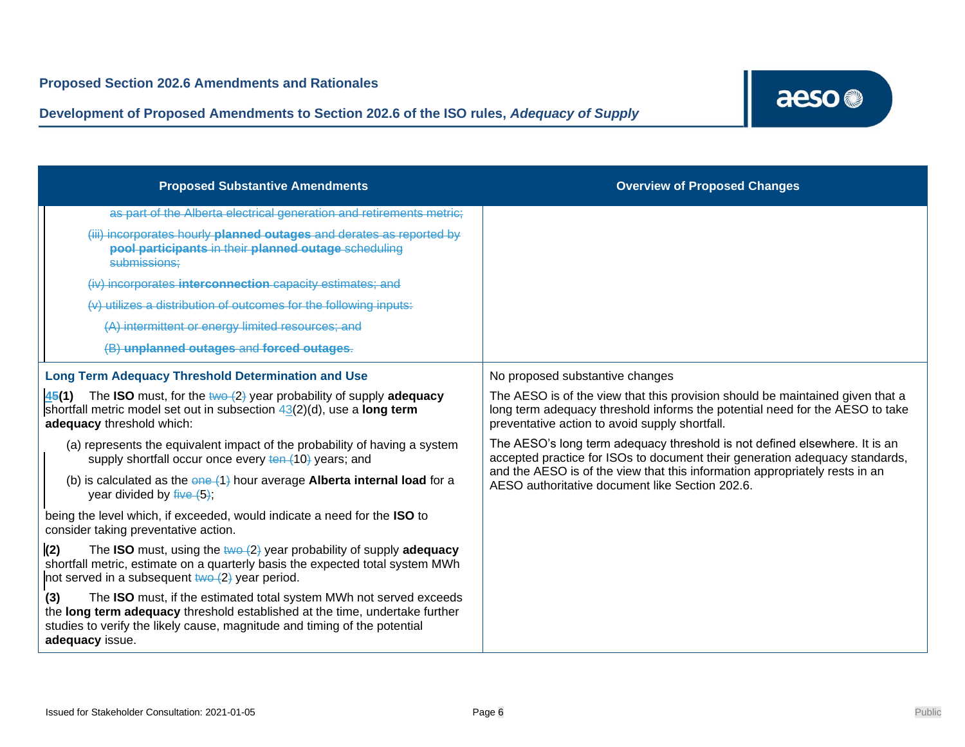

| <b>Proposed Substantive Amendments</b>                                                                                                                                                                                                                   | <b>Overview of Proposed Changes</b>                                                                                                                                                                                                                                                         |
|----------------------------------------------------------------------------------------------------------------------------------------------------------------------------------------------------------------------------------------------------------|---------------------------------------------------------------------------------------------------------------------------------------------------------------------------------------------------------------------------------------------------------------------------------------------|
| as part of the Alberta electrical generation and retirements metric;                                                                                                                                                                                     |                                                                                                                                                                                                                                                                                             |
| (iii) incorporates hourly planned outages and derates as reported by<br>pool participants in their planned outage scheduling<br>submissions;                                                                                                             |                                                                                                                                                                                                                                                                                             |
| (iv) incorporates interconnection capacity estimates; and                                                                                                                                                                                                |                                                                                                                                                                                                                                                                                             |
| (v) utilizes a distribution of outcomes for the following inputs:                                                                                                                                                                                        |                                                                                                                                                                                                                                                                                             |
| (A) intermittent or energy limited resources; and                                                                                                                                                                                                        |                                                                                                                                                                                                                                                                                             |
| (B) unplanned outages and forced outages.                                                                                                                                                                                                                |                                                                                                                                                                                                                                                                                             |
| <b>Long Term Adequacy Threshold Determination and Use</b>                                                                                                                                                                                                | No proposed substantive changes                                                                                                                                                                                                                                                             |
| <b>45(1)</b> The <b>ISO</b> must, for the $\frac{1}{2}$ year probability of supply <b>adequacy</b><br>shortfall metric model set out in subsection $43(2)(d)$ , use a long term<br>adequacy threshold which:                                             | The AESO is of the view that this provision should be maintained given that a<br>long term adequacy threshold informs the potential need for the AESO to take<br>preventative action to avoid supply shortfall.                                                                             |
| (a) represents the equivalent impact of the probability of having a system<br>supply shortfall occur once every ten (10) years; and                                                                                                                      | The AESO's long term adequacy threshold is not defined elsewhere. It is an<br>accepted practice for ISOs to document their generation adequacy standards,<br>and the AESO is of the view that this information appropriately rests in an<br>AESO authoritative document like Section 202.6. |
| (b) is calculated as the $\theta$ ne (1) hour average Alberta internal load for a<br>year divided by $five(5)$ ;                                                                                                                                         |                                                                                                                                                                                                                                                                                             |
| being the level which, if exceeded, would indicate a need for the ISO to<br>consider taking preventative action.                                                                                                                                         |                                                                                                                                                                                                                                                                                             |
| (2)<br>The <b>ISO</b> must, using the $\frac{1}{2}$ year probability of supply <b>adequacy</b><br>shortfall metric, estimate on a quarterly basis the expected total system MWh<br>not served in a subsequent $two (2)$ year period.                     |                                                                                                                                                                                                                                                                                             |
| The ISO must, if the estimated total system MWh not served exceeds<br>(3)<br>the long term adequacy threshold established at the time, undertake further<br>studies to verify the likely cause, magnitude and timing of the potential<br>adequacy issue. |                                                                                                                                                                                                                                                                                             |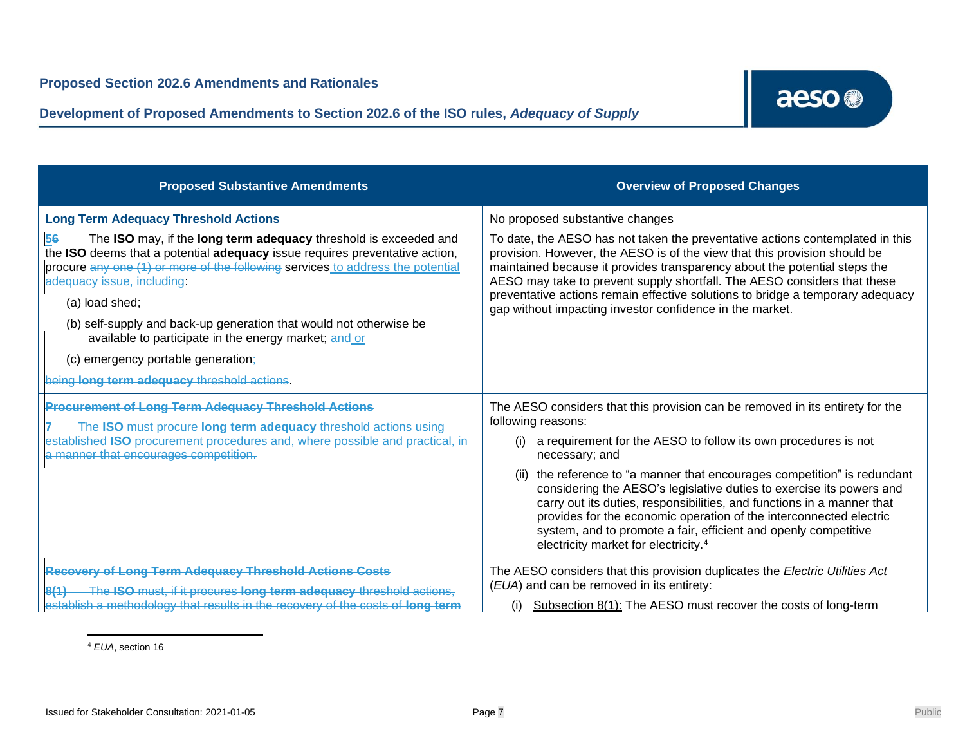**Development of Proposed Amendments to Section 202.6 of the ISO rules,** *Adequacy of Supply*



| <b>Proposed Substantive Amendments</b>                                                                                                                                                                                                                                                                                                                                                                                                                                                                                                                     | <b>Overview of Proposed Changes</b>                                                                                                                                                                                                                                                                                                                                                                                                                                                                                                                                                                            |
|------------------------------------------------------------------------------------------------------------------------------------------------------------------------------------------------------------------------------------------------------------------------------------------------------------------------------------------------------------------------------------------------------------------------------------------------------------------------------------------------------------------------------------------------------------|----------------------------------------------------------------------------------------------------------------------------------------------------------------------------------------------------------------------------------------------------------------------------------------------------------------------------------------------------------------------------------------------------------------------------------------------------------------------------------------------------------------------------------------------------------------------------------------------------------------|
| <b>Long Term Adequacy Threshold Actions</b><br>The ISO may, if the long term adequacy threshold is exceeded and<br>56<br>the ISO deems that a potential adequacy issue requires preventative action,<br>procure any one (1) or more of the following services to address the potential<br>adequacy issue, including:<br>(a) load shed;<br>(b) self-supply and back-up generation that would not otherwise be<br>available to participate in the energy market; and or<br>(c) emergency portable generation.<br>being long term adequacy threshold actions. | No proposed substantive changes<br>To date, the AESO has not taken the preventative actions contemplated in this<br>provision. However, the AESO is of the view that this provision should be<br>maintained because it provides transparency about the potential steps the<br>AESO may take to prevent supply shortfall. The AESO considers that these<br>preventative actions remain effective solutions to bridge a temporary adequacy<br>gap without impacting investor confidence in the market.                                                                                                           |
| <b>Procurement of Long Term Adequacy Threshold Actions</b><br>The ISO must procure long term adequacy threshold actions using<br>established ISO procurement procedures and, where possible and practical, in<br>a manner that encourages competition.                                                                                                                                                                                                                                                                                                     | The AESO considers that this provision can be removed in its entirety for the<br>following reasons:<br>a requirement for the AESO to follow its own procedures is not<br>necessary; and<br>the reference to "a manner that encourages competition" is redundant<br>considering the AESO's legislative duties to exercise its powers and<br>carry out its duties, responsibilities, and functions in a manner that<br>provides for the economic operation of the interconnected electric<br>system, and to promote a fair, efficient and openly competitive<br>electricity market for electricity. <sup>4</sup> |
| <b>Recovery of Long Term Adequacy Threshold Actions Costs</b><br>The ISO must, if it procures long term adequacy threshold actions,<br>establish a methodology that results in the recovery of the costs of long term                                                                                                                                                                                                                                                                                                                                      | The AESO considers that this provision duplicates the Electric Utilities Act<br>(EUA) and can be removed in its entirety:<br>Subsection 8(1): The AESO must recover the costs of long-term                                                                                                                                                                                                                                                                                                                                                                                                                     |

<sup>4</sup> *EUA*, section 16